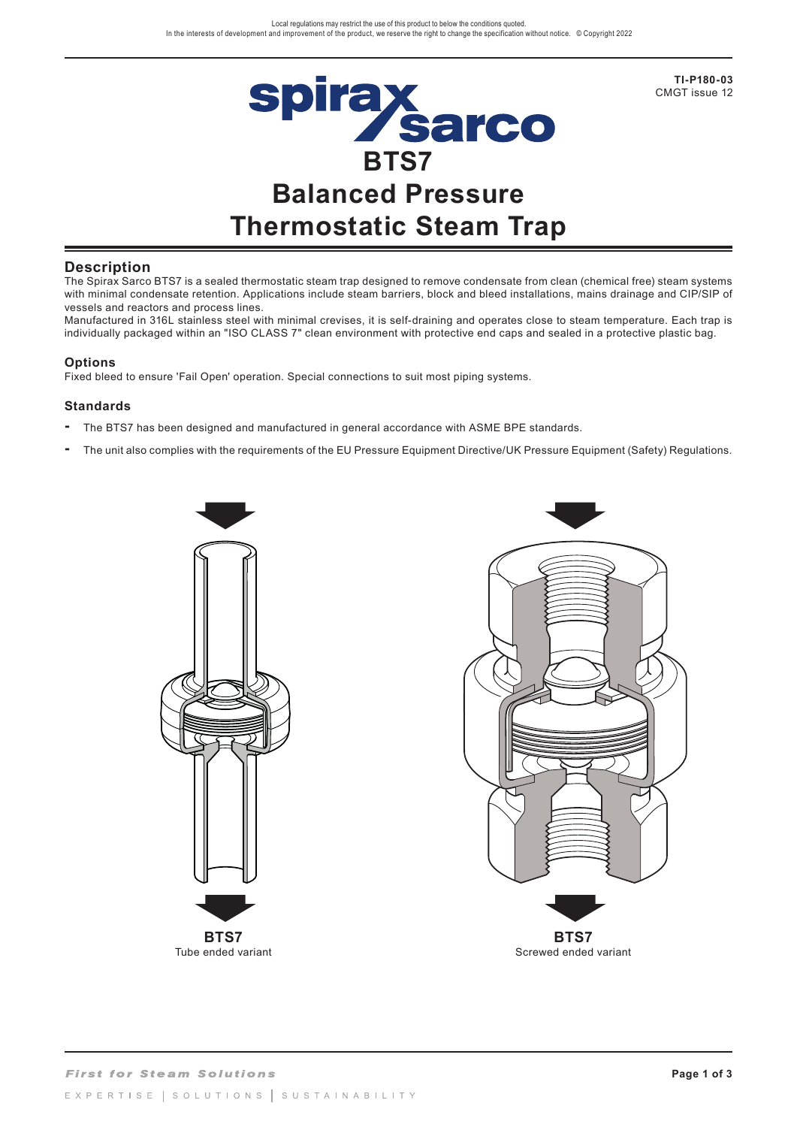

**TI-P180-03**  CMGT issue 12

## **Description**

The Spirax Sarco BTS7 is a sealed thermostatic steam trap designed to remove condensate from clean (chemical free) steam systems with minimal condensate retention. Applications include steam barriers, block and bleed installations, mains drainage and CIP/SIP of vessels and reactors and process lines.

Manufactured in 316L stainless steel with minimal crevises, it is self-draining and operates close to steam temperature. Each trap is individually packaged within an "ISO CLASS 7" clean environment with protective end caps and sealed in a protective plastic bag.

#### **Options**

Fixed bleed to ensure 'Fail Open' operation. Special connections to suit most piping systems.

#### **Standards**

- **-** The BTS7 has been designed and manufactured in general accordance with ASME BPE standards.
- **-** The unit also complies with the requirements of the EU Pressure Equipment Directive/UK Pressure Equipment (Safety) Regulations.



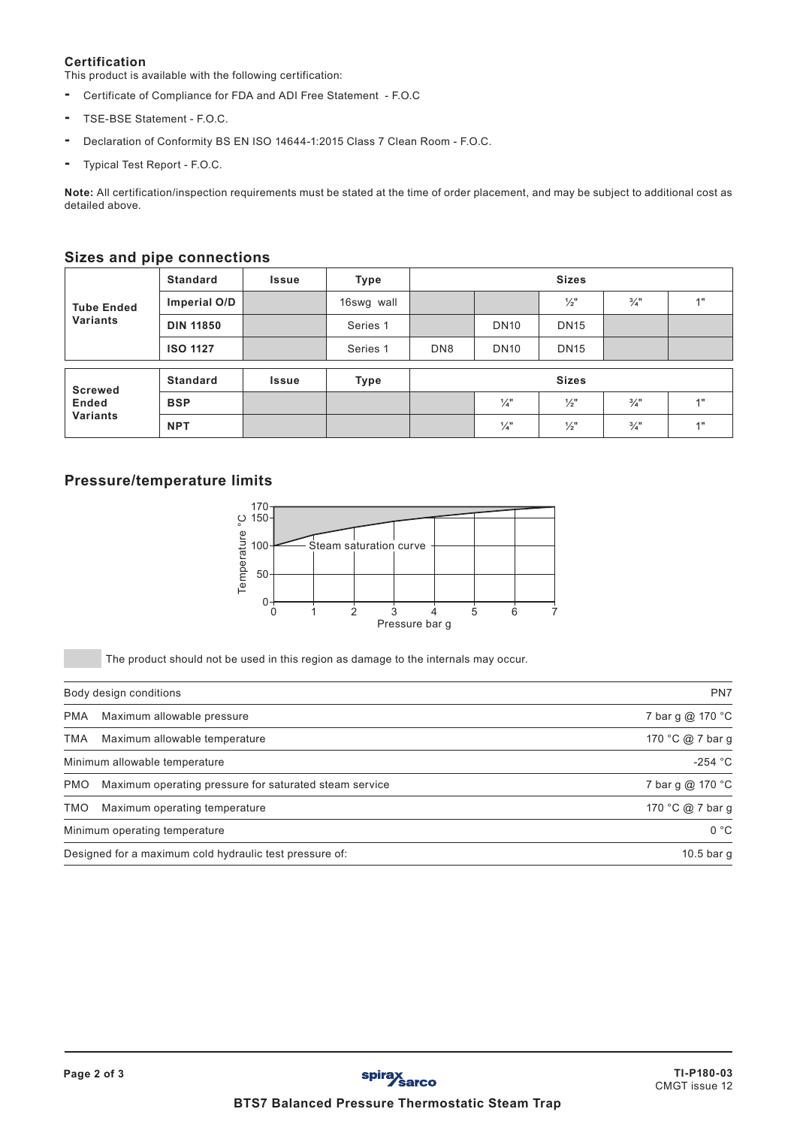#### **Certification**

This product is available with the following certification:

- Certificate of Compliance for FDA and ADI Free Statement F.O.C
- TSE-BSE Statement F.O.C.
- Declaration of Conformity BS EN ISO 14644-1:2015 Class 7 Clean Room F.O.C.
- Typical Test Report F.O.C.

**Note:** All certification/inspection requirements must be stated at the time of order placement, and may be subject to additional cost as detailed above.

## **Sizes and pipe connections**

| <b>Tube Ended</b><br><b>Variants</b>              | <b>Standard</b>  | <b>Issue</b> | Type       | <b>Sizes</b>    |                 |               |                 |    |
|---------------------------------------------------|------------------|--------------|------------|-----------------|-----------------|---------------|-----------------|----|
|                                                   | Imperial O/D     |              | 16swg wall |                 |                 | $\frac{1}{2}$ | $\frac{3}{4}$ " | 1" |
|                                                   | <b>DIN 11850</b> |              | Series 1   |                 | <b>DN10</b>     | <b>DN15</b>   |                 |    |
|                                                   | <b>ISO 1127</b>  |              | Series 1   | DN <sub>8</sub> | <b>DN10</b>     | <b>DN15</b>   |                 |    |
|                                                   |                  |              |            |                 |                 |               |                 |    |
| <b>Screwed</b><br><b>Ended</b><br><b>Variants</b> | <b>Standard</b>  | <b>Issue</b> | Type       | <b>Sizes</b>    |                 |               |                 |    |
|                                                   | <b>BSP</b>       |              |            |                 | $\frac{1}{4}$ " | $\frac{1}{2}$ | $\frac{3}{4}$ " | 1" |
|                                                   | <b>NPT</b>       |              |            |                 | $\frac{1}{4}$   | $\frac{1}{2}$ | $\frac{3}{4}$ " | 4" |

# **Pressure/temperature limits**



The product should not be used in this region as damage to the internals may occur.

|            | PN7<br>Body design conditions                           |                   |  |  |
|------------|---------------------------------------------------------|-------------------|--|--|
| <b>PMA</b> | Maximum allowable pressure                              | 7 bar g @ 170 °C  |  |  |
| TMA        | Maximum allowable temperature                           | 170 °C @ 7 bar q  |  |  |
|            | Minimum allowable temperature                           | -254 $^{\circ}$ C |  |  |
| <b>PMO</b> | Maximum operating pressure for saturated steam service  | 7 bar g @ 170 °C  |  |  |
| <b>TMO</b> | Maximum operating temperature                           | 170 °C @ 7 bar g  |  |  |
|            | Minimum operating temperature                           | 0 °C              |  |  |
|            | Designed for a maximum cold hydraulic test pressure of: | $10.5$ bar q      |  |  |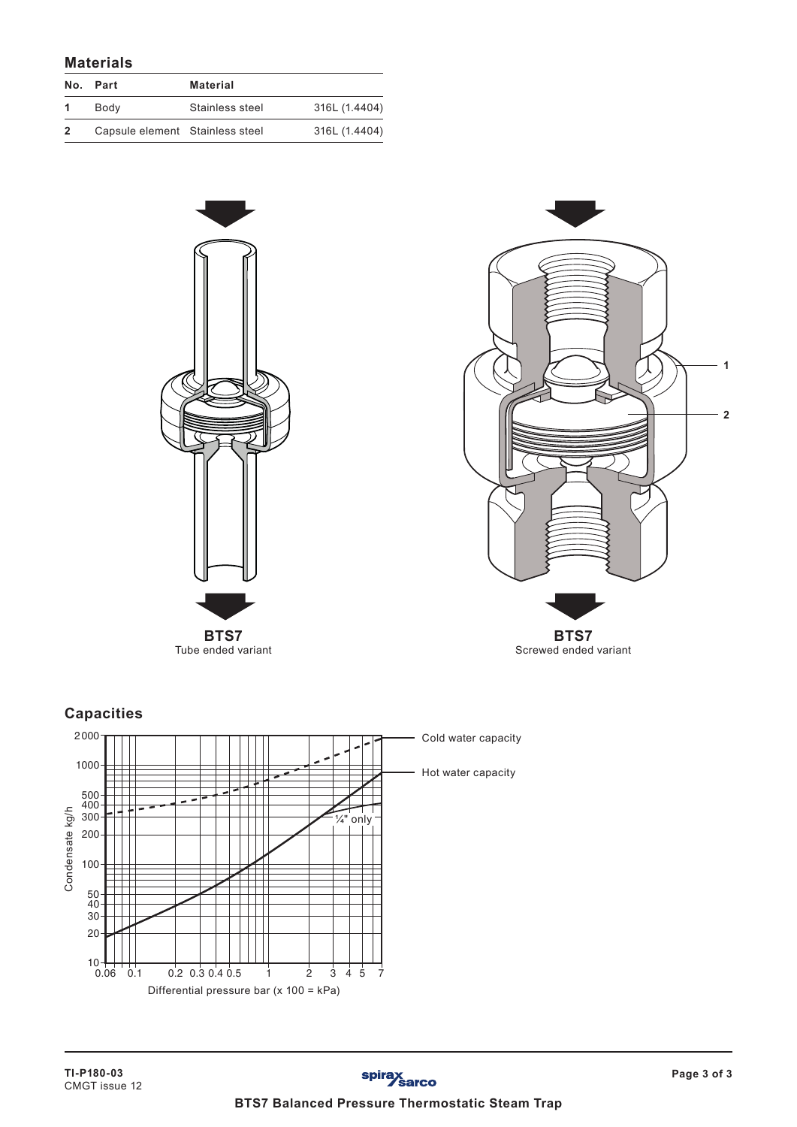## **Materials**

| No.            | Part                            | Material        |               |
|----------------|---------------------------------|-----------------|---------------|
|                | Body                            | Stainless steel | 316L (1.4404) |
| $\overline{2}$ | Capsule element Stainless steel |                 | 316L (1.4404) |





**Capacities**